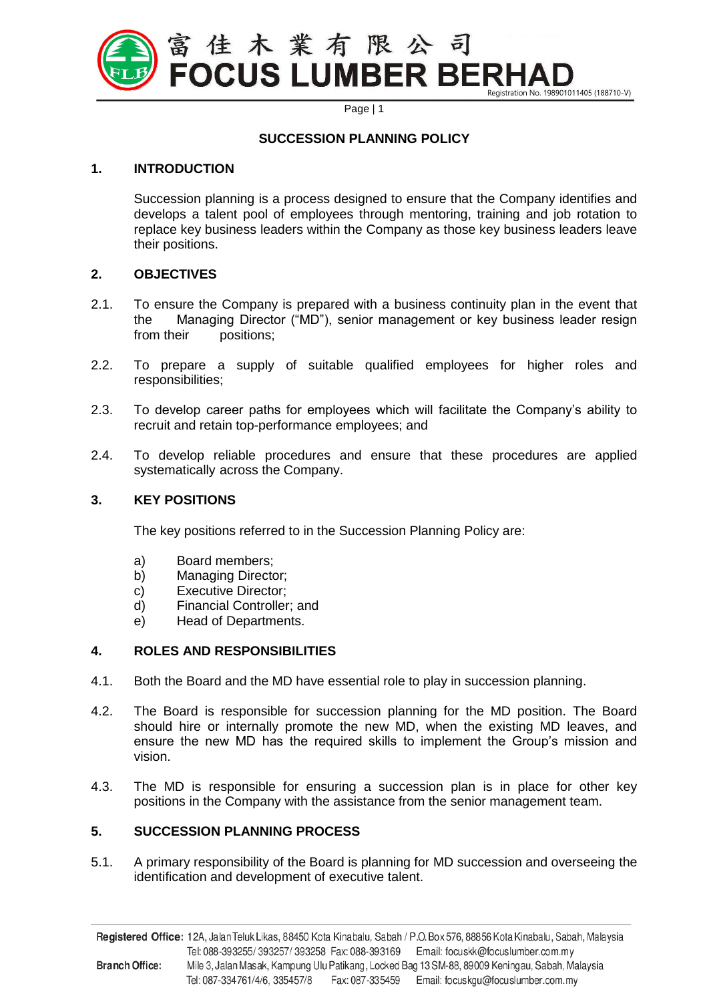

Page | 1

#### **SUCCESSION PLANNING POLICY**

# **1. INTRODUCTION**

Succession planning is a process designed to ensure that the Company identifies and develops a talent pool of employees through mentoring, training and job rotation to replace key business leaders within the Company as those key business leaders leave their positions.

# **2. OBJECTIVES**

- 2.1. To ensure the Company is prepared with a business continuity plan in the event that the Managing Director ("MD"), senior management or key business leader resign from their positions;
- 2.2. To prepare a supply of suitable qualified employees for higher roles and responsibilities;
- 2.3. To develop career paths for employees which will facilitate the Company's ability to recruit and retain top-performance employees; and
- 2.4. To develop reliable procedures and ensure that these procedures are applied systematically across the Company.

#### **3. KEY POSITIONS**

The key positions referred to in the Succession Planning Policy are:

- a) Board members;
- b) Managing Director;
- c) Executive Director;
- d) Financial Controller; and
- e) Head of Departments.

# **4. ROLES AND RESPONSIBILITIES**

- 4.1. Both the Board and the MD have essential role to play in succession planning.
- 4.2. The Board is responsible for succession planning for the MD position. The Board should hire or internally promote the new MD, when the existing MD leaves, and ensure the new MD has the required skills to implement the Group's mission and vision.
- 4.3. The MD is responsible for ensuring a succession plan is in place for other key positions in the Company with the assistance from the senior management team.

# **5. SUCCESSION PLANNING PROCESS**

5.1. A primary responsibility of the Board is planning for MD succession and overseeing the identification and development of executive talent.

Registered Office: 12A, Jalan Teluk Likas, 88450 Kota Kinabalu, Sabah / P.O. Box 576, 88856 Kota Kinabalu, Sabah, Malaysia Tel: 088-393255/393257/393258 Fax: 088-393169 Email: focuskk@focuslumber.com.my **Branch Office:** Mile 3, Jalan Masak, Kampung Ulu Patikang, Locked Bag 13 SM-88, 89009 Keningau, Sabah, Malaysia Tel: 087-334761/4/6, 335457/8 Fax: 087-335459 Email: focuskgu@focuslumber.com.my

**\_\_\_\_\_\_\_\_\_\_\_\_\_\_\_\_\_\_\_\_\_\_\_\_\_\_\_\_\_\_\_\_\_\_\_\_\_\_\_\_\_\_\_\_\_\_\_\_\_\_\_\_\_\_\_\_\_\_\_\_\_\_\_\_\_\_\_\_\_\_\_\_\_\_\_\_\_\_\_\_\_\_\_\_**